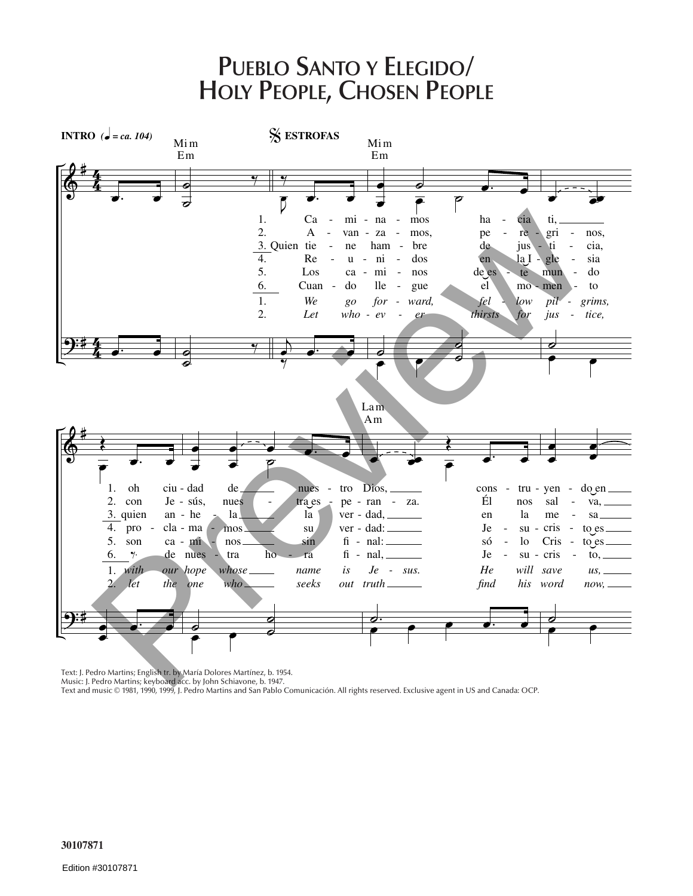## **PUEBLO SANTO Y ELEGIDO/ HOLY PEOPLE, CHOSEN PEOPLE**



Text: J. Pedro Martins; English tr. by María Dolores Martínez, b. 1954.

Music: J. Pedro Martins; keyboard acc. by John Schiavone, b. 1947.

Text and music © 1981, 1990, 1999, J. Pedro Martins and San Pablo Comunicación. All rights reserved. Exclusive agent in US and Canada: OCP.